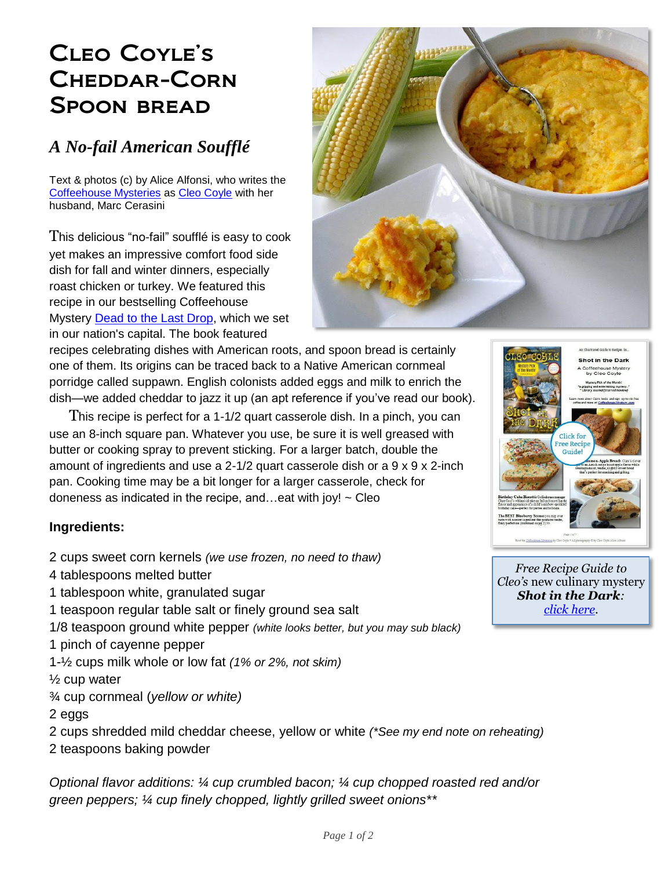## Cleo Coyle's Cheddar-Corn Spoon bread

## *A No-fail American Soufflé*

Text & photos (c) by Alice Alfonsi, who writes the [Coffeehouse](http://www.coffeehousemystery.com/about_coffeehouse_mystery_books.cfm) Mysteries as [Cleo Coyle](http://cleocoylebooks.com/about/) with her husband, Marc Cerasini

This delicious "no-fail" soufflé is easy to cook yet makes an impressive comfort food side dish for fall and winter dinners, especially roast chicken or turkey. We featured this recipe in our bestselling Coffeehouse Mystery [Dead to the Last Drop,](https://cleocoylebooks.com/2015/09/01/15-dead-to-the-last-drop/) which we set in our nation's capital. The book featured

recipes celebrating dishes with American roots, and spoon bread is certainly one of them. Its origins can be traced back to a Native American cornmeal porridge called suppawn. English colonists added eggs and milk to enrich the

dish—we added cheddar to jazz it up (an apt reference if you've read our book). This recipe is perfect for a 1-1/2 quart casserole dish. In a pinch, you can use an 8-inch square pan. Whatever you use, be sure it is well greased with butter or cooking spray to prevent sticking. For a larger batch, double the amount of ingredients and use a 2-1/2 quart casserole dish or a  $9 \times 9 \times 2$ -inch pan. Cooking time may be a bit longer for a larger casserole, check for doneness as indicated in the recipe, and...eat with joy!  $\sim$  Cleo

## **Ingredients:**

- 2 cups sweet corn kernels *(we use frozen, no need to thaw)*
- 4 tablespoons melted butter
- 1 tablespoon white, granulated sugar
- 1 teaspoon regular table salt or finely ground sea salt
- 1/8 teaspoon ground white pepper *(white looks better, but you may sub black)*
- 1 pinch of cayenne pepper
- 1-½ cups milk whole or low fat *(1% or 2%, not skim)*
- $\frac{1}{2}$  cup water
- ¾ cup cornmeal (*yellow or white)*
- 2 eggs
- 2 cups shredded mild cheddar cheese, yellow or white *(\*See my end note on reheating)*
- 2 teaspoons baking powder

*Optional flavor additions: ¼ cup crumbled bacon; ¼ cup chopped roasted red and/or green peppers; ¼ cup finely chopped, lightly grilled sweet onions\*\**





*Free Recipe Guide to Cleo's* new culinary mystery *Shot in the Dark: [click here.](http://www.coffeehousemystery.com/userfiles/file/Shot-in-the-Dark-Recipes-CleoCoyle.pdf)*